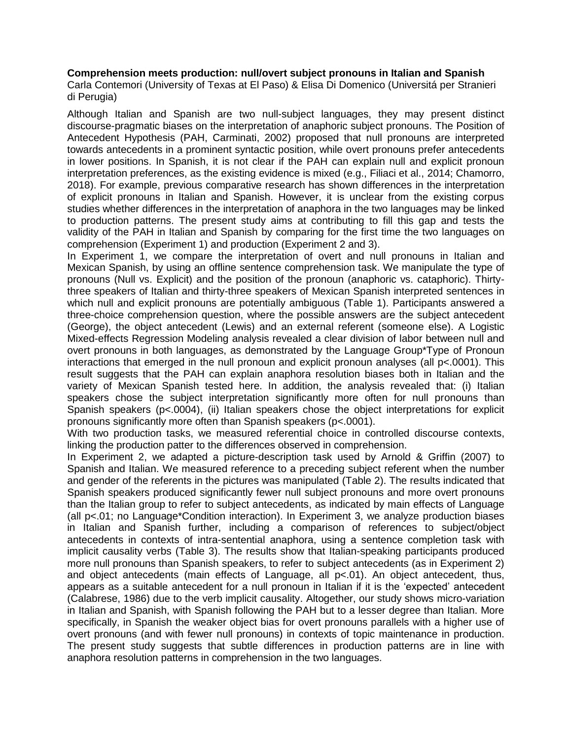## **Comprehension meets production: null/overt subject pronouns in Italian and Spanish**

Carla Contemori (University of Texas at El Paso) & Elisa Di Domenico (Universitá per Stranieri di Perugia)

Although Italian and Spanish are two null-subject languages, they may present distinct discourse-pragmatic biases on the interpretation of anaphoric subject pronouns. The Position of Antecedent Hypothesis (PAH, Carminati, 2002) proposed that null pronouns are interpreted towards antecedents in a prominent syntactic position, while overt pronouns prefer antecedents in lower positions. In Spanish, it is not clear if the PAH can explain null and explicit pronoun interpretation preferences, as the existing evidence is mixed (e.g., Filiaci et al., 2014; Chamorro, 2018). For example, previous comparative research has shown differences in the interpretation of explicit pronouns in Italian and Spanish. However, it is unclear from the existing corpus studies whether differences in the interpretation of anaphora in the two languages may be linked to production patterns. The present study aims at contributing to fill this gap and tests the validity of the PAH in Italian and Spanish by comparing for the first time the two languages on comprehension (Experiment 1) and production (Experiment 2 and 3).

In Experiment 1, we compare the interpretation of overt and null pronouns in Italian and Mexican Spanish, by using an offline sentence comprehension task. We manipulate the type of pronouns (Null vs. Explicit) and the position of the pronoun (anaphoric vs. cataphoric). Thirtythree speakers of Italian and thirty-three speakers of Mexican Spanish interpreted sentences in which null and explicit pronouns are potentially ambiguous (Table 1). Participants answered a three-choice comprehension question, where the possible answers are the subject antecedent (George), the object antecedent (Lewis) and an external referent (someone else). A Logistic Mixed-effects Regression Modeling analysis revealed a clear division of labor between null and overt pronouns in both languages, as demonstrated by the Language Group\*Type of Pronoun interactions that emerged in the null pronoun and explicit pronoun analyses (all p<.0001). This result suggests that the PAH can explain anaphora resolution biases both in Italian and the variety of Mexican Spanish tested here. In addition, the analysis revealed that: (i) Italian speakers chose the subject interpretation significantly more often for null pronouns than Spanish speakers (p<.0004), (ii) Italian speakers chose the object interpretations for explicit pronouns significantly more often than Spanish speakers (p<.0001).

With two production tasks, we measured referential choice in controlled discourse contexts, linking the production patter to the differences observed in comprehension.

In Experiment 2, we adapted a picture-description task used by Arnold & Griffin (2007) to Spanish and Italian. We measured reference to a preceding subject referent when the number and gender of the referents in the pictures was manipulated (Table 2). The results indicated that Spanish speakers produced significantly fewer null subject pronouns and more overt pronouns than the Italian group to refer to subject antecedents, as indicated by main effects of Language (all p<.01; no Language\*Condition interaction). In Experiment 3, we analyze production biases in Italian and Spanish further, including a comparison of references to subject/object antecedents in contexts of intra-sentential anaphora, using a sentence completion task with implicit causality verbs (Table 3). The results show that Italian-speaking participants produced more null pronouns than Spanish speakers, to refer to subject antecedents (as in Experiment 2) and object antecedents (main effects of Language, all p<.01). An object antecedent, thus, appears as a suitable antecedent for a null pronoun in Italian if it is the 'expected' antecedent (Calabrese, 1986) due to the verb implicit causality. Altogether, our study shows micro-variation in Italian and Spanish, with Spanish following the PAH but to a lesser degree than Italian. More specifically, in Spanish the weaker object bias for overt pronouns parallels with a higher use of overt pronouns (and with fewer null pronouns) in contexts of topic maintenance in production. The present study suggests that subtle differences in production patterns are in line with anaphora resolution patterns in comprehension in the two languages.